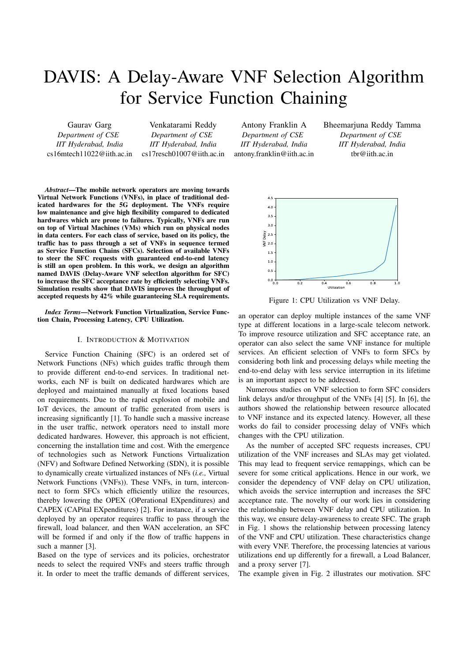# DAVIS: A Delay-Aware VNF Selection Algorithm for Service Function Chaining

Gaurav Garg *Department of CSE IIT Hyderabad, India* cs16mtech11022@iith.ac.in

Venkatarami Reddy *Department of CSE IIT Hyderabad, India* cs17resch01007@iith.ac.in

Antony Franklin A *Department of CSE IIT Hyderabad, India* antony.franklin@iith.ac.in Bheemarjuna Reddy Tamma *Department of CSE IIT Hyderabad, India* tbr@iith.ac.in

*Abstract*—The mobile network operators are moving towards Virtual Network Functions (VNFs), in place of traditional dedicated hardwares for the 5G deployment. The VNFs require low maintenance and give high flexibility compared to dedicated hardwares which are prone to failures. Typically, VNFs are run on top of Virtual Machines (VMs) which run on physical nodes in data centers. For each class of service, based on its policy, the traffic has to pass through a set of VNFs in sequence termed as Service Function Chains (SFCs). Selection of available VNFs to steer the SFC requests with guaranteed end-to-end latency is still an open problem. In this work, we design an algorithm named DAVIS (Delay-Aware VNF selectIon algorithm for SFC) to increase the SFC acceptance rate by efficiently selecting VNFs. Simulation results show that DAVIS improves the throughput of accepted requests by 42% while guaranteeing SLA requirements.

*Index Terms*—Network Function Virtualization, Service Function Chain, Processing Latency, CPU Utilization.

#### I. INTRODUCTION & MOTIVATION

Service Function Chaining (SFC) is an ordered set of Network Functions (NFs) which guides traffic through them to provide different end-to-end services. In traditional networks, each NF is built on dedicated hardwares which are deployed and maintained manually at fixed locations based on requirements. Due to the rapid explosion of mobile and IoT devices, the amount of traffic generated from users is increasing significantly [1]. To handle such a massive increase in the user traffic, network operators need to install more dedicated hardwares. However, this approach is not efficient, concerning the installation time and cost. With the emergence of technologies such as Network Functions Virtualization (NFV) and Software Defined Networking (SDN), it is possible to dynamically create virtualized instances of NFs (*i.e.,* Virtual Network Functions (VNFs)). These VNFs, in turn, interconnect to form SFCs which efficiently utilize the resources, thereby lowering the OPEX (OPerational EXpenditures) and CAPEX (CAPital EXpenditures) [2]. For instance, if a service deployed by an operator requires traffic to pass through the firewall, load balancer, and then WAN acceleration, an SFC will be formed if and only if the flow of traffic happens in such a manner [3].

Based on the type of services and its policies, orchestrator needs to select the required VNFs and steers traffic through it. In order to meet the traffic demands of different services,



Figure 1: CPU Utilization vs VNF Delay.

an operator can deploy multiple instances of the same VNF type at different locations in a large-scale telecom network. To improve resource utilization and SFC acceptance rate, an operator can also select the same VNF instance for multiple services. An efficient selection of VNFs to form SFCs by considering both link and processing delays while meeting the end-to-end delay with less service interruption in its lifetime is an important aspect to be addressed.

Numerous studies on VNF selection to form SFC considers link delays and/or throughput of the VNFs [4] [5]. In [6], the authors showed the relationship between resource allocated to VNF instance and its expected latency. However, all these works do fail to consider processing delay of VNFs which changes with the CPU utilization.

As the number of accepted SFC requests increases, CPU utilization of the VNF increases and SLAs may get violated. This may lead to frequent service remappings, which can be severe for some critical applications. Hence in our work, we consider the dependency of VNF delay on CPU utilization, which avoids the service interruption and increases the SFC acceptance rate. The novelty of our work lies in considering the relationship between VNF delay and CPU utilization. In this way, we ensure delay-awareness to create SFC. The graph in Fig. 1 shows the relationship between processing latency of the VNF and CPU utilization. These characteristics change with every VNF. Therefore, the processing latencies at various utilizations end up differently for a firewall, a Load Balancer, and a proxy server [7].

The example given in Fig. 2 illustrates our motivation. SFC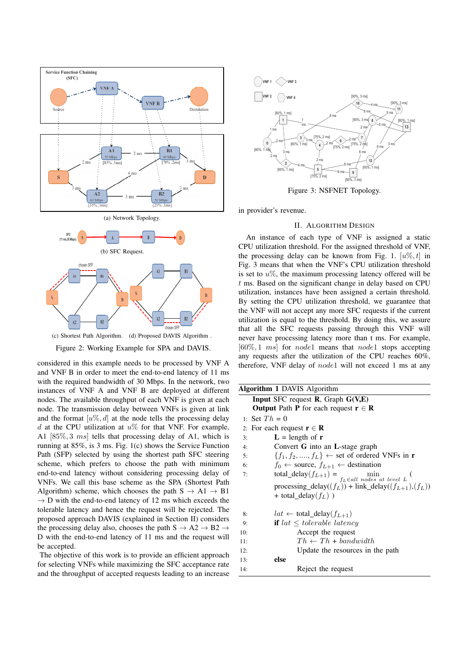

Figure 2: Working Example for SPA and DAVIS.

considered in this example needs to be processed by VNF A and VNF B in order to meet the end-to-end latency of 11 ms with the required bandwidth of 30 Mbps. In the network, two instances of VNF A and VNF B are deployed at different nodes. The available throughput of each VNF is given at each node. The transmission delay between VNFs is given at link and the format  $[u\%, d]$  at the node tells the processing delay d at the CPU utilization at  $u\%$  for that VNF. For example, A1  $[85\%, 3 \text{ ms}]$  tells that processing delay of A1, which is running at 85%, is 3 ms. Fig. 1(c) shows the Service Function Path (SFP) selected by using the shortest path SFC steering scheme, which prefers to choose the path with minimum end-to-end latency without considering processing delay of VNFs. We call this base scheme as the SPA (Shortest Path Algorithm) scheme, which chooses the path  $S \rightarrow Al \rightarrow Bl$  $\rightarrow$  D with the end-to-end latency of 12 ms which exceeds the tolerable latency and hence the request will be rejected. The proposed approach DAVIS (explained in Section II) considers the processing delay also, chooses the path  $S \rightarrow A2 \rightarrow B2 \rightarrow$ D with the end-to-end latency of 11 ms and the request will be accepted.

The objective of this work is to provide an efficient approach for selecting VNFs while maximizing the SFC acceptance rate and the throughput of accepted requests leading to an increase



Figure 3: NSFNET Topology.

in provider's revenue.

#### II. ALGORITHM DESIGN

An instance of each type of VNF is assigned a static CPU utilization threshold. For the assigned threshold of VNF, the processing delay can be known from Fig. 1.  $[u\%, t]$  in Fig. 3 means that when the VNF's CPU utilization threshold is set to  $u\%$ , the maximum processing latency offered will be t ms. Based on the significant change in delay based on CPU utilization, instances have been assigned a certain threshold. By setting the CPU utilization threshold, we guarantee that the VNF will not accept any more SFC requests if the current utilization is equal to the threshold. By doing this, we assure that all the SFC requests passing through this VNF will never have processing latency more than t ms. For example,  $[60\%, 1 \text{ ms}]$  for node1 means that node1 stops accepting any requests after the utilization of the CPU reaches 60%, therefore, VNF delay of node1 will not exceed 1 ms at any

| <b>Algorithm 1 DAVIS Algorithm</b>                     |                                                                          |  |
|--------------------------------------------------------|--------------------------------------------------------------------------|--|
|                                                        | <b>Input</b> SFC request $R$ , Graph $G(V,E)$                            |  |
| <b>Output</b> Path <b>P</b> for each request $r \in R$ |                                                                          |  |
| 1: Set $Th = 0$                                        |                                                                          |  |
| 2: For each request $\mathbf{r} \in \mathbf{R}$        |                                                                          |  |
| 3:                                                     | $L =$ length of r                                                        |  |
| 4:                                                     | Convert G into an L-stage graph                                          |  |
| 5:                                                     | $\{f_1, f_2, , f_L\}$ $\leftarrow$ set of ordered VNFs in <b>r</b>       |  |
| 6:                                                     | $f_0 \leftarrow$ source, $f_{L+1} \leftarrow$ destination                |  |
| 7:                                                     | total_delay( $f_{L+1}$ ) = $\min_{f_L \in all \ nodes \ at \ level \ L}$ |  |
|                                                        | processing_delay( $(f_L)$ ) + link_delay( $(f_{L+1})$ , $(f_L)$ )        |  |
|                                                        | + total_delay( $f_L$ ))                                                  |  |
|                                                        |                                                                          |  |
| 8:                                                     | $lat \leftarrow$ total_delay( $f_{L+1}$ )                                |  |
| 9:                                                     | <b>if</b> lat $\leq$ tolerable latency                                   |  |
| 10:                                                    | Accept the request                                                       |  |
| 11:                                                    | $Th \leftarrow Th + bandwidth$                                           |  |
| 12:                                                    | Update the resources in the path                                         |  |
| else<br>13:                                            |                                                                          |  |
| 14:                                                    | Reject the request                                                       |  |
|                                                        |                                                                          |  |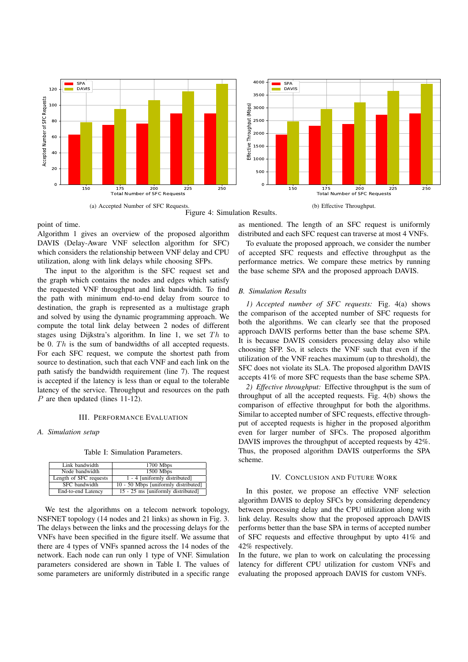

Figure 4: Simulation Results.

(b) Effective Throughput.

point of time.

Algorithm 1 gives an overview of the proposed algorithm DAVIS (Delay-Aware VNF selectIon algorithm for SFC) which considers the relationship between VNF delay and CPU utilization, along with link delays while choosing SFPs.

The input to the algorithm is the SFC request set and the graph which contains the nodes and edges which satisfy the requested VNF throughput and link bandwidth. To find the path with minimum end-to-end delay from source to destination, the graph is represented as a multistage graph and solved by using the dynamic programming approach. We compute the total link delay between 2 nodes of different stages using Dijkstra's algorithm. In line 1, we set  $Th$  to be 0.  $Th$  is the sum of bandwidths of all accepted requests. For each SFC request, we compute the shortest path from source to destination, such that each VNF and each link on the path satisfy the bandwidth requirement (line 7). The request is accepted if the latency is less than or equal to the tolerable latency of the service. Throughput and resources on the path  $P$  are then updated (lines 11-12).

#### **III. PERFORMANCE EVALUATION**

A. Simulation setup

Table I: Simulation Parameters.

| Link bandwidth         | 1700 Mbps                            |
|------------------------|--------------------------------------|
| Node bandwidth         | 1500 Mbps                            |
| Length of SFC requests | 1 - 4 [uniformly distributed]        |
| SFC bandwidth          | 10 - 50 Mbps [uniformly distributed] |
| End-to-end Latency     | 15 - 25 ms [uniformly distributed]   |

We test the algorithms on a telecom network topology, NSFNET topology (14 nodes and 21 links) as shown in Fig. 3. The delays between the links and the processing delays for the VNFs have been specified in the figure itself. We assume that there are 4 types of VNFs spanned across the 14 nodes of the network. Each node can run only 1 type of VNF. Simulation parameters considered are shown in Table I. The values of some parameters are uniformly distributed in a specific range

as mentioned. The length of an SFC request is uniformly distributed and each SFC request can traverse at most 4 VNFs.

To evaluate the proposed approach, we consider the number of accepted SFC requests and effective throughput as the performance metrics. We compare these metrics by running the base scheme SPA and the proposed approach DAVIS.

#### **B.** Simulation Results

1) Accepted number of SFC requests: Fig. 4(a) shows the comparison of the accepted number of SFC requests for both the algorithms. We can clearly see that the proposed approach DAVIS performs better than the base scheme SPA. It is because DAVIS considers processing delay also while choosing SFP. So, it selects the VNF such that even if the utilization of the VNF reaches maximum (up to threshold), the SFC does not violate its SLA. The proposed algorithm DAVIS accepts 41% of more SFC requests than the base scheme SPA.

2) *Effective throughput:* Effective throughput is the sum of throughput of all the accepted requests. Fig. 4(b) shows the comparison of effective throughput for both the algorithms. Similar to accepted number of SFC requests, effective throughput of accepted requests is higher in the proposed algorithm even for larger number of SFCs. The proposed algorithm DAVIS improves the throughput of accepted requests by 42%. Thus, the proposed algorithm DAVIS outperforms the SPA scheme.

## IV. CONCLUSION AND FUTURE WORK

In this poster, we propose an effective VNF selection algorithm DAVIS to deploy SFCs by considering dependency between processing delay and the CPU utilization along with link delay. Results show that the proposed approach DAVIS performs better than the base SPA in terms of accepted number of SFC requests and effective throughput by upto 41% and 42% respectively.

In the future, we plan to work on calculating the processing latency for different CPU utilization for custom VNFs and evaluating the proposed approach DAVIS for custom VNFs.